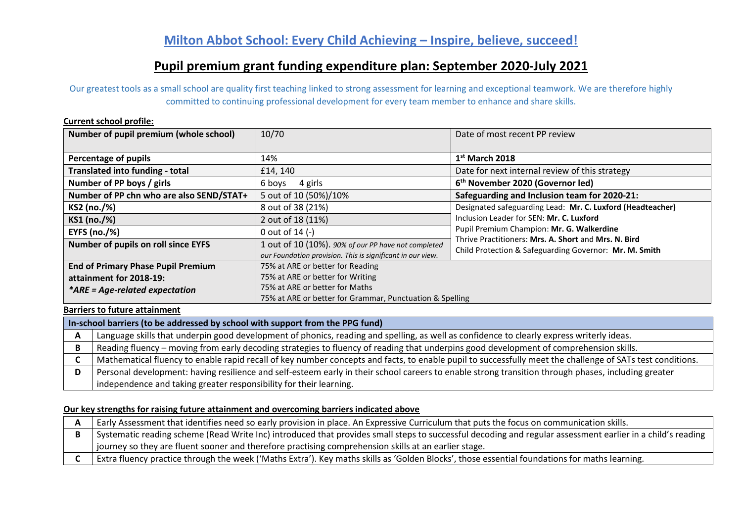# **Pupil premium grant funding expenditure plan: September 2020-July 2021**

Our greatest tools as a small school are quality first teaching linked to strong assessment for learning and exceptional teamwork. We are therefore highly committed to continuing professional development for every team member to enhance and share skills.

#### **Current school profile:**

| Number of pupil premium (whole school)    | 10/70                                                      | Date of most recent PP review                                                                                  |
|-------------------------------------------|------------------------------------------------------------|----------------------------------------------------------------------------------------------------------------|
|                                           |                                                            |                                                                                                                |
| <b>Percentage of pupils</b>               | 14%                                                        | $1st$ March 2018                                                                                               |
| <b>Translated into funding - total</b>    | £14, 140                                                   | Date for next internal review of this strategy                                                                 |
| Number of PP boys / girls                 | 4 girls<br>6 boys                                          | 6 <sup>th</sup> November 2020 (Governor led)                                                                   |
| Number of PP chn who are also SEND/STAT+  | 5 out of 10 (50%)/10%                                      | Safeguarding and Inclusion team for 2020-21:                                                                   |
| KS2 (no./%)                               | 8 out of 38 (21%)                                          | Designated safeguarding Lead: Mr. C. Luxford (Headteacher)                                                     |
| KS1 (no./%)                               | 2 out of 18 (11%)                                          | Inclusion Leader for SEN: Mr. C. Luxford                                                                       |
| <b>EYFS (no./%)</b>                       | 0 out of $14$ (-)                                          | Pupil Premium Champion: Mr. G. Walkerdine                                                                      |
| Number of pupils on roll since EYFS       | 1 out of 10 (10%). 90% of our PP have not completed        | Thrive Practitioners: Mrs. A. Short and Mrs. N. Bird<br>Child Protection & Safeguarding Governor: Mr. M. Smith |
|                                           | our Foundation provision. This is significant in our view. |                                                                                                                |
| <b>End of Primary Phase Pupil Premium</b> | 75% at ARE or better for Reading                           |                                                                                                                |
| attainment for 2018-19:                   | 75% at ARE or better for Writing                           |                                                                                                                |
| *ARE = Age-related expectation            | 75% at ARE or better for Maths                             |                                                                                                                |
|                                           | 75% at ARE or better for Grammar, Punctuation & Spelling   |                                                                                                                |

### **Barriers to future attainment**

| In-school barriers (to be addressed by school with support from the PPG fund)                                                                             |
|-----------------------------------------------------------------------------------------------------------------------------------------------------------|
| Language skills that underpin good development of phonics, reading and spelling, as well as confidence to clearly express writerly ideas.                 |
| Reading fluency - moving from early decoding strategies to fluency of reading that underpins good development of comprehension skills.                    |
| Mathematical fluency to enable rapid recall of key number concepts and facts, to enable pupil to successfully meet the challenge of SATs test conditions. |
| Personal development: having resilience and self-esteem early in their school careers to enable strong transition through phases, including greater       |
| independence and taking greater responsibility for their learning.                                                                                        |

#### **Our key strengths for raising future attainment and overcoming barriers indicated above**

| Early Assessment that identifies need so early provision in place. An Expressive Curriculum that puts the focus on communication skills.                   |
|------------------------------------------------------------------------------------------------------------------------------------------------------------|
| Systematic reading scheme (Read Write Inc) introduced that provides small steps to successful decoding and regular assessment earlier in a child's reading |
| journey so they are fluent sooner and therefore practising comprehension skills at an earlier stage.                                                       |
| Extra fluency practice through the week ('Maths Extra'). Key maths skills as 'Golden Blocks', those essential foundations for maths learning.              |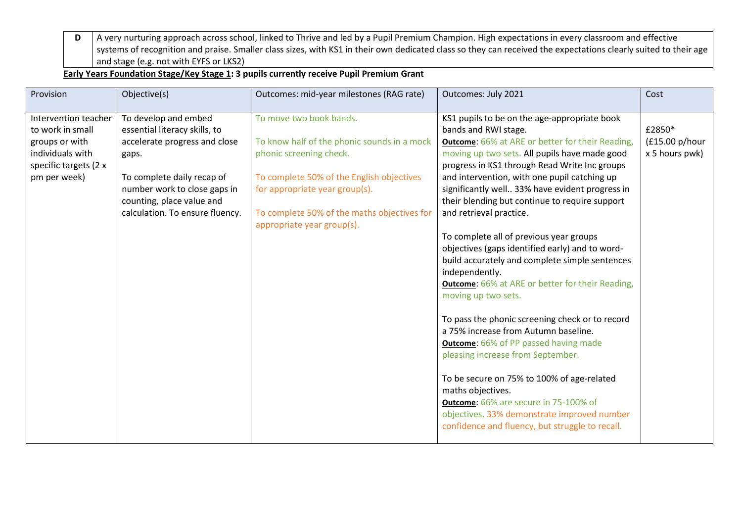**D** A very nurturing approach across school, linked to Thrive and led by a Pupil Premium Champion. High expectations in every classroom and effective systems of recognition and praise. Smaller class sizes, with KS1 in their own dedicated class so they can received the expectations clearly suited to their age and stage (e.g. not with EYFS or LKS2)

## **Early Years Foundation Stage/Key Stage 1: 3 pupils currently receive Pupil Premium Grant**

| Provision                                                                                                               | Objective(s)                                                                                                                                                                                                                  | Outcomes: mid-year milestones (RAG rate)                                                                                                                                                                                                                      | Outcomes: July 2021                                                                                                                                                                                                                                                                                                                                                                                                                                                                                                                                                                                                                                                                                                                                                                                                                                                                                                                                                                                                                                                        | Cost                                       |
|-------------------------------------------------------------------------------------------------------------------------|-------------------------------------------------------------------------------------------------------------------------------------------------------------------------------------------------------------------------------|---------------------------------------------------------------------------------------------------------------------------------------------------------------------------------------------------------------------------------------------------------------|----------------------------------------------------------------------------------------------------------------------------------------------------------------------------------------------------------------------------------------------------------------------------------------------------------------------------------------------------------------------------------------------------------------------------------------------------------------------------------------------------------------------------------------------------------------------------------------------------------------------------------------------------------------------------------------------------------------------------------------------------------------------------------------------------------------------------------------------------------------------------------------------------------------------------------------------------------------------------------------------------------------------------------------------------------------------------|--------------------------------------------|
| Intervention teacher<br>to work in small<br>groups or with<br>individuals with<br>specific targets (2 x<br>pm per week) | To develop and embed<br>essential literacy skills, to<br>accelerate progress and close<br>gaps.<br>To complete daily recap of<br>number work to close gaps in<br>counting, place value and<br>calculation. To ensure fluency. | To move two book bands.<br>To know half of the phonic sounds in a mock<br>phonic screening check.<br>To complete 50% of the English objectives<br>for appropriate year group(s).<br>To complete 50% of the maths objectives for<br>appropriate year group(s). | KS1 pupils to be on the age-appropriate book<br>bands and RWI stage.<br><b>Outcome:</b> 66% at ARE or better for their Reading,<br>moving up two sets. All pupils have made good<br>progress in KS1 through Read Write Inc groups<br>and intervention, with one pupil catching up<br>significantly well 33% have evident progress in<br>their blending but continue to require support<br>and retrieval practice.<br>To complete all of previous year groups<br>objectives (gaps identified early) and to word-<br>build accurately and complete simple sentences<br>independently.<br><b>Outcome: 66%</b> at ARE or better for their Reading,<br>moving up two sets.<br>To pass the phonic screening check or to record<br>a 75% increase from Autumn baseline.<br><b>Outcome: 66% of PP passed having made</b><br>pleasing increase from September.<br>To be secure on 75% to 100% of age-related<br>maths objectives.<br><b>Outcome: 66% are secure in 75-100% of</b><br>objectives. 33% demonstrate improved number<br>confidence and fluency, but struggle to recall. | £2850*<br>(£15.00 p/hour<br>x 5 hours pwk) |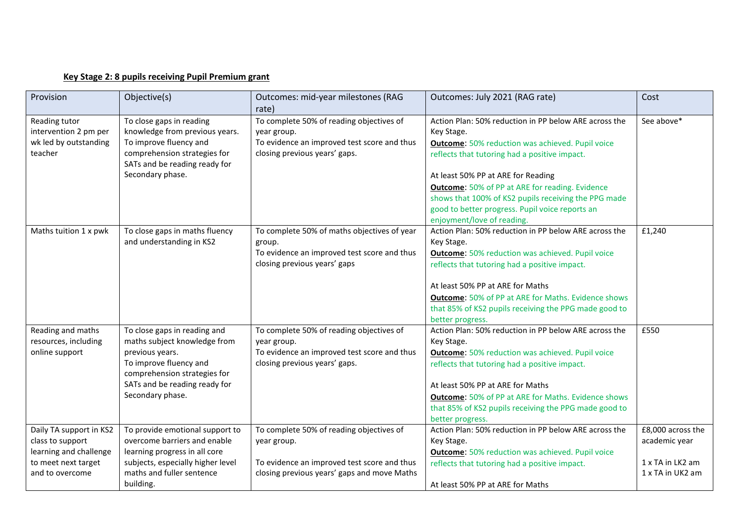## **Key Stage 2: 8 pupils receiving Pupil Premium grant**

| Provision               | Objective(s)                                           | Outcomes: mid-year milestones (RAG          | Outcomes: July 2021 (RAG rate)                             | Cost              |
|-------------------------|--------------------------------------------------------|---------------------------------------------|------------------------------------------------------------|-------------------|
|                         |                                                        | rate)                                       |                                                            |                   |
| Reading tutor           | To close gaps in reading                               | To complete 50% of reading objectives of    | Action Plan: 50% reduction in PP below ARE across the      | See above*        |
| intervention 2 pm per   | knowledge from previous years.                         | year group.                                 | Key Stage.                                                 |                   |
| wk led by outstanding   | To improve fluency and                                 | To evidence an improved test score and thus | <b>Outcome:</b> 50% reduction was achieved. Pupil voice    |                   |
| teacher                 | comprehension strategies for                           | closing previous years' gaps.               | reflects that tutoring had a positive impact.              |                   |
|                         | SATs and be reading ready for                          |                                             |                                                            |                   |
|                         | Secondary phase.                                       |                                             | At least 50% PP at ARE for Reading                         |                   |
|                         |                                                        |                                             | <b>Outcome: 50% of PP at ARE for reading. Evidence</b>     |                   |
|                         |                                                        |                                             | shows that 100% of KS2 pupils receiving the PPG made       |                   |
|                         |                                                        |                                             | good to better progress. Pupil voice reports an            |                   |
|                         |                                                        |                                             | enjoyment/love of reading.                                 |                   |
| Maths tuition 1 x pwk   | To close gaps in maths fluency                         | To complete 50% of maths objectives of year | Action Plan: 50% reduction in PP below ARE across the      | £1,240            |
|                         | and understanding in KS2                               | group.                                      | Key Stage.                                                 |                   |
|                         |                                                        | To evidence an improved test score and thus | <b>Outcome:</b> 50% reduction was achieved. Pupil voice    |                   |
|                         |                                                        | closing previous years' gaps                | reflects that tutoring had a positive impact.              |                   |
|                         |                                                        |                                             | At least 50% PP at ARE for Maths                           |                   |
|                         |                                                        |                                             | <b>Outcome:</b> 50% of PP at ARE for Maths. Evidence shows |                   |
|                         |                                                        |                                             | that 85% of KS2 pupils receiving the PPG made good to      |                   |
|                         |                                                        |                                             | better progress.                                           |                   |
| Reading and maths       | To close gaps in reading and                           | To complete 50% of reading objectives of    | Action Plan: 50% reduction in PP below ARE across the      | £550              |
| resources, including    | maths subject knowledge from                           | year group.                                 | Key Stage.                                                 |                   |
| online support          | previous years.                                        | To evidence an improved test score and thus | <b>Outcome:</b> 50% reduction was achieved. Pupil voice    |                   |
|                         | To improve fluency and<br>comprehension strategies for | closing previous years' gaps.               | reflects that tutoring had a positive impact.              |                   |
|                         | SATs and be reading ready for                          |                                             | At least 50% PP at ARE for Maths                           |                   |
|                         | Secondary phase.                                       |                                             | <b>Outcome:</b> 50% of PP at ARE for Maths. Evidence shows |                   |
|                         |                                                        |                                             | that 85% of KS2 pupils receiving the PPG made good to      |                   |
|                         |                                                        |                                             | better progress.                                           |                   |
| Daily TA support in KS2 | To provide emotional support to                        | To complete 50% of reading objectives of    | Action Plan: 50% reduction in PP below ARE across the      | £8,000 across the |
| class to support        | overcome barriers and enable                           | year group.                                 | Key Stage.                                                 | academic year     |
| learning and challenge  | learning progress in all core                          |                                             | <b>Outcome:</b> 50% reduction was achieved. Pupil voice    |                   |
| to meet next target     | subjects, especially higher level                      | To evidence an improved test score and thus | reflects that tutoring had a positive impact.              | 1 x TA in LK2 am  |
| and to overcome         | maths and fuller sentence                              | closing previous years' gaps and move Maths |                                                            | 1 x TA in UK2 am  |
|                         | building.                                              |                                             | At least 50% PP at ARE for Maths                           |                   |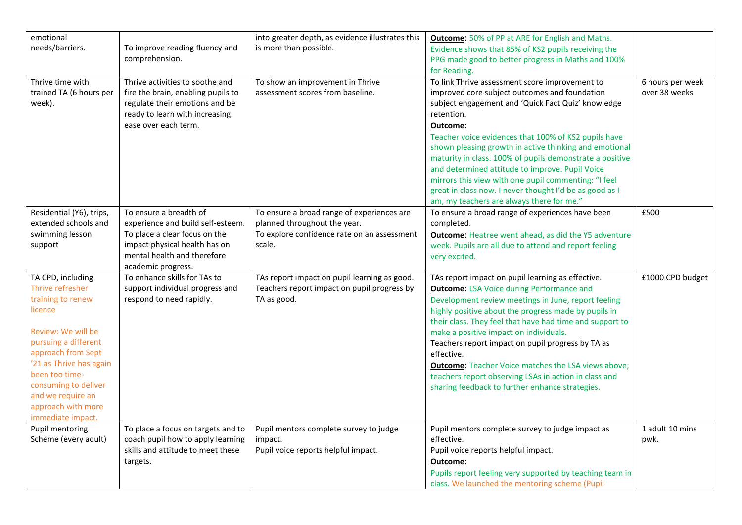| emotional                                  |                                    | into greater depth, as evidence illustrates this | <b>Outcome:</b> 50% of PP at ARE for English and Maths.         |                  |
|--------------------------------------------|------------------------------------|--------------------------------------------------|-----------------------------------------------------------------|------------------|
| needs/barriers.                            | To improve reading fluency and     | is more than possible.                           | Evidence shows that 85% of KS2 pupils receiving the             |                  |
|                                            | comprehension.                     |                                                  | PPG made good to better progress in Maths and 100%              |                  |
|                                            |                                    |                                                  | for Reading.                                                    |                  |
| Thrive time with                           | Thrive activities to soothe and    | To show an improvement in Thrive                 | To link Thrive assessment score improvement to                  | 6 hours per week |
| trained TA (6 hours per                    | fire the brain, enabling pupils to | assessment scores from baseline.                 | improved core subject outcomes and foundation                   | over 38 weeks    |
| week).                                     | regulate their emotions and be     |                                                  | subject engagement and 'Quick Fact Quiz' knowledge              |                  |
|                                            | ready to learn with increasing     |                                                  | retention.                                                      |                  |
|                                            | ease over each term.               |                                                  | Outcome:                                                        |                  |
|                                            |                                    |                                                  | Teacher voice evidences that 100% of KS2 pupils have            |                  |
|                                            |                                    |                                                  | shown pleasing growth in active thinking and emotional          |                  |
|                                            |                                    |                                                  | maturity in class. 100% of pupils demonstrate a positive        |                  |
|                                            |                                    |                                                  | and determined attitude to improve. Pupil Voice                 |                  |
|                                            |                                    |                                                  | mirrors this view with one pupil commenting: "I feel            |                  |
|                                            |                                    |                                                  | great in class now. I never thought I'd be as good as I         |                  |
|                                            |                                    |                                                  | am, my teachers are always there for me."                       |                  |
| Residential (Y6), trips,                   | To ensure a breadth of             | To ensure a broad range of experiences are       | To ensure a broad range of experiences have been                | £500             |
| extended schools and                       | experience and build self-esteem.  | planned throughout the year.                     | completed.                                                      |                  |
| swimming lesson                            | To place a clear focus on the      | To explore confidence rate on an assessment      | <b>Outcome:</b> Heatree went ahead, as did the Y5 adventure     |                  |
| support                                    | impact physical health has on      | scale.                                           | week. Pupils are all due to attend and report feeling           |                  |
|                                            | mental health and therefore        |                                                  | very excited.                                                   |                  |
|                                            | academic progress.                 |                                                  |                                                                 |                  |
| TA CPD, including                          | To enhance skills for TAs to       | TAs report impact on pupil learning as good.     | TAs report impact on pupil learning as effective.               | £1000 CPD budget |
| Thrive refresher                           | support individual progress and    | Teachers report impact on pupil progress by      | <b>Outcome: LSA Voice during Performance and</b>                |                  |
| training to renew                          | respond to need rapidly.           | TA as good.                                      | Development review meetings in June, report feeling             |                  |
| licence                                    |                                    |                                                  | highly positive about the progress made by pupils in            |                  |
|                                            |                                    |                                                  | their class. They feel that have had time and support to        |                  |
| Review: We will be                         |                                    |                                                  | make a positive impact on individuals.                          |                  |
| pursuing a different<br>approach from Sept |                                    |                                                  | Teachers report impact on pupil progress by TA as<br>effective. |                  |
| '21 as Thrive has again                    |                                    |                                                  |                                                                 |                  |
| been too time-                             |                                    |                                                  | <b>Outcome:</b> Teacher Voice matches the LSA views above;      |                  |
| consuming to deliver                       |                                    |                                                  | teachers report observing LSAs in action in class and           |                  |
| and we require an                          |                                    |                                                  | sharing feedback to further enhance strategies.                 |                  |
| approach with more                         |                                    |                                                  |                                                                 |                  |
| immediate impact.                          |                                    |                                                  |                                                                 |                  |
| Pupil mentoring                            | To place a focus on targets and to | Pupil mentors complete survey to judge           | Pupil mentors complete survey to judge impact as                | 1 adult 10 mins  |
| Scheme (every adult)                       | coach pupil how to apply learning  | impact.                                          | effective.                                                      | pwk.             |
|                                            | skills and attitude to meet these  | Pupil voice reports helpful impact.              | Pupil voice reports helpful impact.                             |                  |
|                                            | targets.                           |                                                  | Outcome:                                                        |                  |
|                                            |                                    |                                                  | Pupils report feeling very supported by teaching team in        |                  |
|                                            |                                    |                                                  | class. We launched the mentoring scheme (Pupil                  |                  |